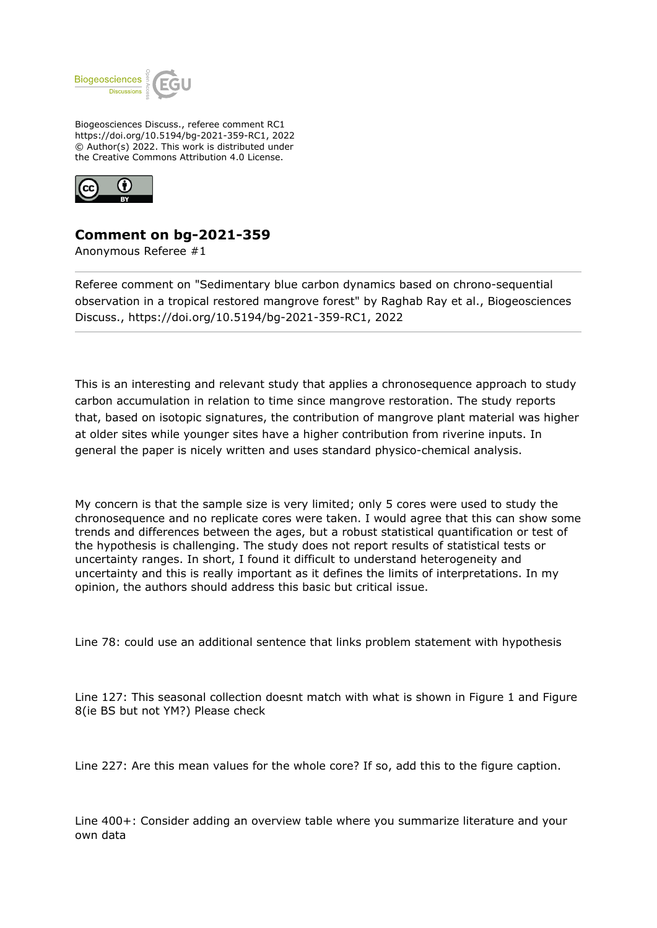

Biogeosciences Discuss., referee comment RC1 https://doi.org/10.5194/bg-2021-359-RC1, 2022 © Author(s) 2022. This work is distributed under the Creative Commons Attribution 4.0 License.



## **Comment on bg-2021-359**

Anonymous Referee #1

Referee comment on "Sedimentary blue carbon dynamics based on chrono-sequential observation in a tropical restored mangrove forest" by Raghab Ray et al., Biogeosciences Discuss., https://doi.org/10.5194/bg-2021-359-RC1, 2022

This is an interesting and relevant study that applies a chronosequence approach to study carbon accumulation in relation to time since mangrove restoration. The study reports that, based on isotopic signatures, the contribution of mangrove plant material was higher at older sites while younger sites have a higher contribution from riverine inputs. In general the paper is nicely written and uses standard physico-chemical analysis.

My concern is that the sample size is very limited; only 5 cores were used to study the chronosequence and no replicate cores were taken. I would agree that this can show some trends and differences between the ages, but a robust statistical quantification or test of the hypothesis is challenging. The study does not report results of statistical tests or uncertainty ranges. In short, I found it difficult to understand heterogeneity and uncertainty and this is really important as it defines the limits of interpretations. In my opinion, the authors should address this basic but critical issue.

Line 78: could use an additional sentence that links problem statement with hypothesis

Line 127: This seasonal collection doesnt match with what is shown in Figure 1 and Figure 8(ie BS but not YM?) Please check

Line 227: Are this mean values for the whole core? If so, add this to the figure caption.

Line 400+: Consider adding an overview table where you summarize literature and your own data